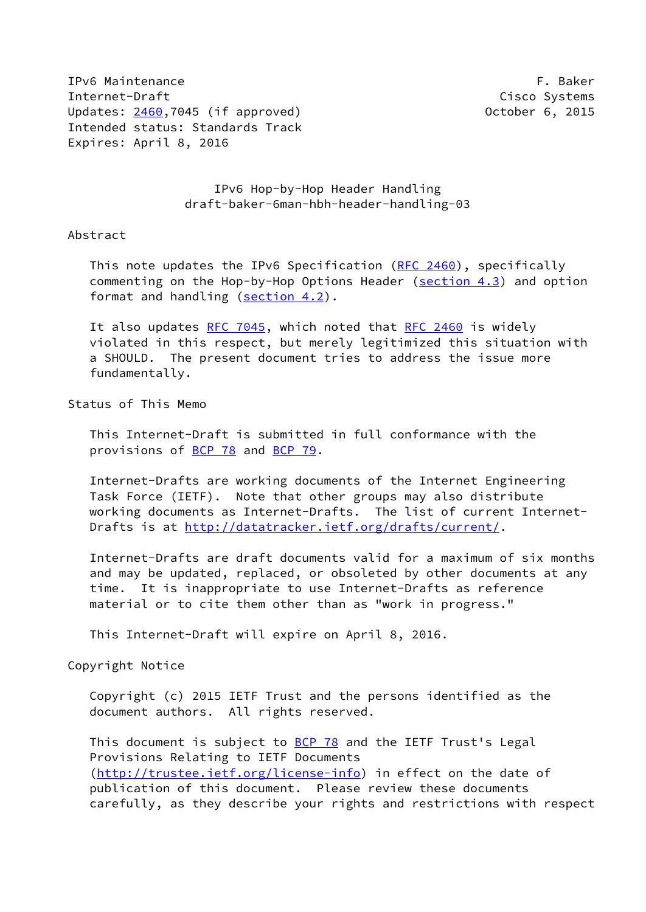IPv6 Maintenance **F. Baker** Internet-Draft Cisco Systems Updates: [2460](https://datatracker.ietf.org/doc/pdf/rfc2460),7045 (if approved) 0ctober 6, 2015 Intended status: Standards Track Expires: April 8, 2016

## IPv6 Hop-by-Hop Header Handling draft-baker-6man-hbh-header-handling-03

#### Abstract

This note updates the IPv6 Specification [\(RFC 2460](https://datatracker.ietf.org/doc/pdf/rfc2460)), specifically commenting on the Hop-by-Hop Options Header (section 4.3) and option format and handling (section 4.2).

It also updates [RFC 7045](https://datatracker.ietf.org/doc/pdf/rfc7045), which noted that [RFC 2460](https://datatracker.ietf.org/doc/pdf/rfc2460) is widely violated in this respect, but merely legitimized this situation with a SHOULD. The present document tries to address the issue more fundamentally.

#### Status of This Memo

 This Internet-Draft is submitted in full conformance with the provisions of [BCP 78](https://datatracker.ietf.org/doc/pdf/bcp78) and [BCP 79](https://datatracker.ietf.org/doc/pdf/bcp79).

 Internet-Drafts are working documents of the Internet Engineering Task Force (IETF). Note that other groups may also distribute working documents as Internet-Drafts. The list of current Internet Drafts is at<http://datatracker.ietf.org/drafts/current/>.

 Internet-Drafts are draft documents valid for a maximum of six months and may be updated, replaced, or obsoleted by other documents at any time. It is inappropriate to use Internet-Drafts as reference material or to cite them other than as "work in progress."

This Internet-Draft will expire on April 8, 2016.

Copyright Notice

 Copyright (c) 2015 IETF Trust and the persons identified as the document authors. All rights reserved.

This document is subject to **[BCP 78](https://datatracker.ietf.org/doc/pdf/bcp78)** and the IETF Trust's Legal Provisions Relating to IETF Documents [\(http://trustee.ietf.org/license-info](http://trustee.ietf.org/license-info)) in effect on the date of publication of this document. Please review these documents carefully, as they describe your rights and restrictions with respect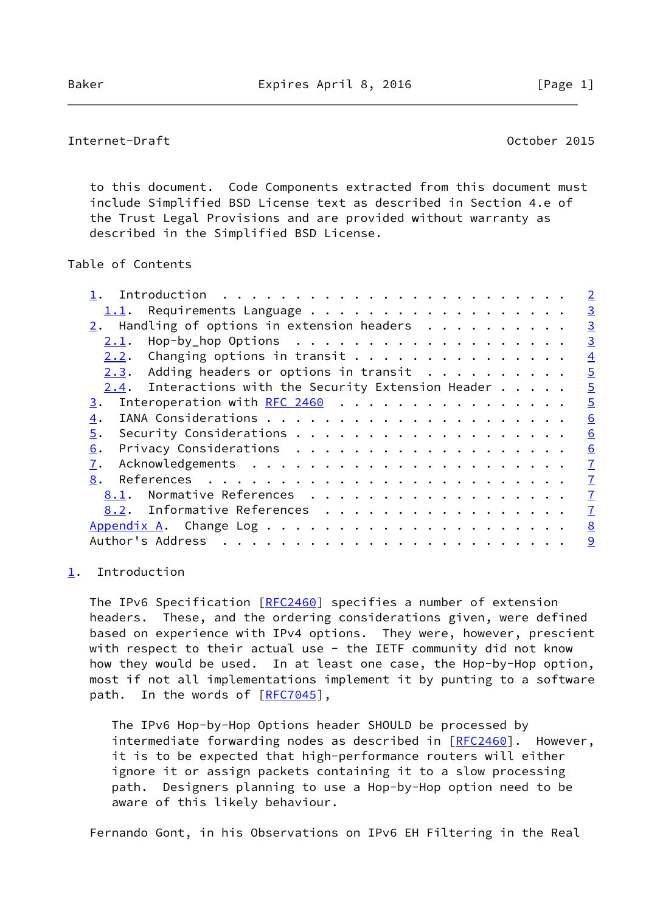## <span id="page-1-1"></span>Internet-Draft October 2015

 to this document. Code Components extracted from this document must include Simplified BSD License text as described in Section 4.e of the Trust Legal Provisions and are provided without warranty as described in the Simplified BSD License.

## Table of Contents

|                                                         | $\overline{2}$ |
|---------------------------------------------------------|----------------|
| 1.1.                                                    | $\overline{3}$ |
| $2.$ Handling of options in extension headers           | $\overline{3}$ |
| 2.1.                                                    | $\overline{3}$ |
| Changing options in transit<br>2.2.                     | $\overline{4}$ |
| Adding headers or options in transit $\cdots$<br>2.3.   | $\overline{5}$ |
| Interactions with the Security Extension Header<br>2.4. | $\overline{5}$ |
| Interoperation with RFC 2460<br>3.                      | $\overline{5}$ |
| 4.                                                      | 6              |
| 5.                                                      | 6              |
| 6.                                                      | 6              |
| 7.                                                      | $\overline{1}$ |
| 8.                                                      | $\overline{1}$ |
| Normative References<br>8.1.                            | $\overline{1}$ |
| 8.2. Informative References                             | $\overline{1}$ |
|                                                         | 8              |
| Author's Address                                        | 9              |
|                                                         |                |

### <span id="page-1-0"></span>[1](#page-1-0). Introduction

The IPv6 Specification [\[RFC2460](https://datatracker.ietf.org/doc/pdf/rfc2460)] specifies a number of extension headers. These, and the ordering considerations given, were defined based on experience with IPv4 options. They were, however, prescient with respect to their actual use - the IETF community did not know how they would be used. In at least one case, the Hop-by-Hop option, most if not all implementations implement it by punting to a software path. In the words of [\[RFC7045](https://datatracker.ietf.org/doc/pdf/rfc7045)],

 The IPv6 Hop-by-Hop Options header SHOULD be processed by intermediate forwarding nodes as described in [\[RFC2460](https://datatracker.ietf.org/doc/pdf/rfc2460)]. However, it is to be expected that high-performance routers will either ignore it or assign packets containing it to a slow processing path. Designers planning to use a Hop-by-Hop option need to be aware of this likely behaviour.

Fernando Gont, in his Observations on IPv6 EH Filtering in the Real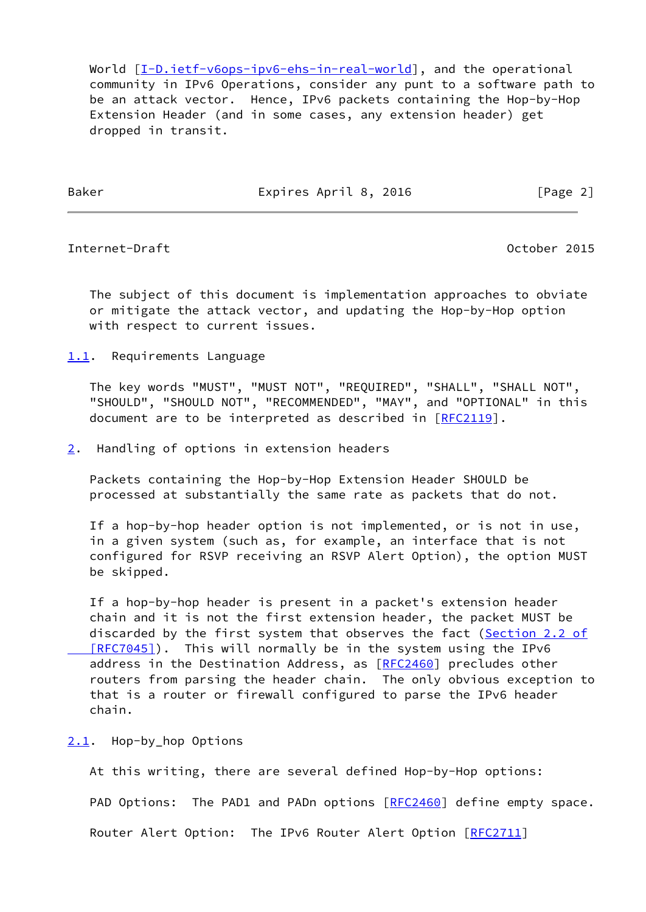World  $[I-D.iett-v6ops-ipv6-ehs-in-real-world]$ , and the operational community in IPv6 Operations, consider any punt to a software path to be an attack vector. Hence, IPv6 packets containing the Hop-by-Hop Extension Header (and in some cases, any extension header) get dropped in transit.

Baker **Expires April 8, 2016** Expires April 8, 2016

<span id="page-2-1"></span>Internet-Draft October 2015

 The subject of this document is implementation approaches to obviate or mitigate the attack vector, and updating the Hop-by-Hop option with respect to current issues.

<span id="page-2-0"></span>[1.1](#page-2-0). Requirements Language

 The key words "MUST", "MUST NOT", "REQUIRED", "SHALL", "SHALL NOT", "SHOULD", "SHOULD NOT", "RECOMMENDED", "MAY", and "OPTIONAL" in this document are to be interpreted as described in [\[RFC2119](https://datatracker.ietf.org/doc/pdf/rfc2119)].

<span id="page-2-2"></span>[2](#page-2-2). Handling of options in extension headers

 Packets containing the Hop-by-Hop Extension Header SHOULD be processed at substantially the same rate as packets that do not.

 If a hop-by-hop header option is not implemented, or is not in use, in a given system (such as, for example, an interface that is not configured for RSVP receiving an RSVP Alert Option), the option MUST be skipped.

 If a hop-by-hop header is present in a packet's extension header chain and it is not the first extension header, the packet MUST be discarded by the first system that observes the fact [\(Section](https://datatracker.ietf.org/doc/pdf/rfc7045#section-2.2) 2.2 of [RFC7045]). This will normally be in the system using the IPv6 address in the Destination Address, as [\[RFC2460](https://datatracker.ietf.org/doc/pdf/rfc2460)] precludes other routers from parsing the header chain. The only obvious exception to that is a router or firewall configured to parse the IPv6 header chain.

<span id="page-2-3"></span>[2.1](#page-2-3). Hop-by\_hop Options

 At this writing, there are several defined Hop-by-Hop options: PAD Options: The PAD1 and PADn options [\[RFC2460](https://datatracker.ietf.org/doc/pdf/rfc2460)] define empty space. Router Alert Option: The IPv6 Router Alert Option [[RFC2711\]](https://datatracker.ietf.org/doc/pdf/rfc2711)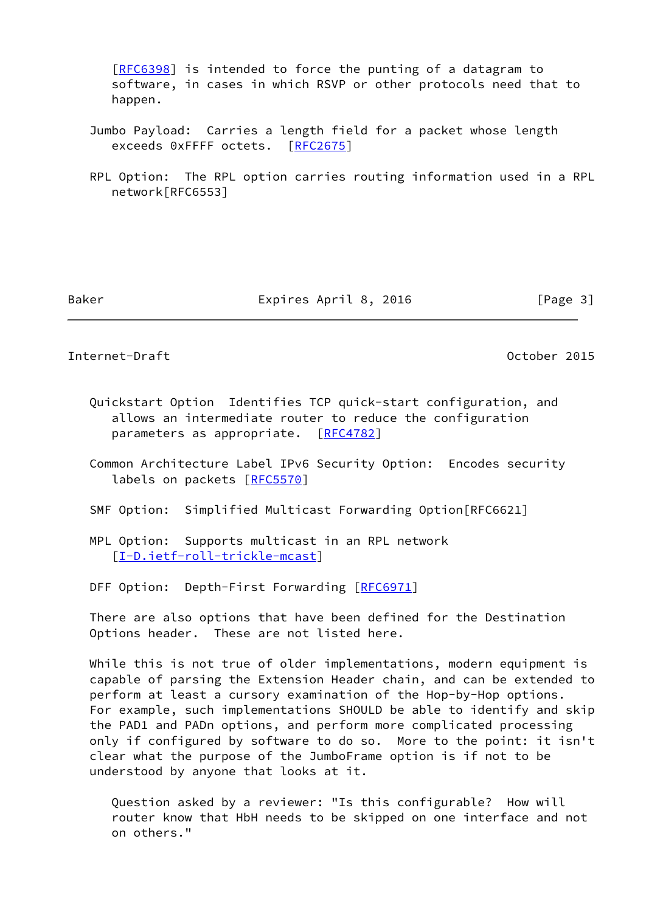[[RFC6398\]](https://datatracker.ietf.org/doc/pdf/rfc6398) is intended to force the punting of a datagram to software, in cases in which RSVP or other protocols need that to happen.

- Jumbo Payload: Carries a length field for a packet whose length exceeds 0xFFFF octets. [[RFC2675\]](https://datatracker.ietf.org/doc/pdf/rfc2675)
- RPL Option: The RPL option carries routing information used in a RPL network[RFC6553]

Baker Expires April 8, 2016 [Page 3]

<span id="page-3-0"></span>Internet-Draft October 2015

- Quickstart Option Identifies TCP quick-start configuration, and allows an intermediate router to reduce the configuration parameters as appropriate. [\[RFC4782](https://datatracker.ietf.org/doc/pdf/rfc4782)]
- Common Architecture Label IPv6 Security Option: Encodes security labels on packets [\[RFC5570](https://datatracker.ietf.org/doc/pdf/rfc5570)]
- SMF Option: Simplified Multicast Forwarding Option[RFC6621]
- MPL Option: Supports multicast in an RPL network [[I-D.ietf-roll-trickle-mcast\]](#page-7-4)
- DFF Option: Depth-First Forwarding [\[RFC6971](https://datatracker.ietf.org/doc/pdf/rfc6971)]

 There are also options that have been defined for the Destination Options header. These are not listed here.

 While this is not true of older implementations, modern equipment is capable of parsing the Extension Header chain, and can be extended to perform at least a cursory examination of the Hop-by-Hop options. For example, such implementations SHOULD be able to identify and skip the PAD1 and PADn options, and perform more complicated processing only if configured by software to do so. More to the point: it isn't clear what the purpose of the JumboFrame option is if not to be understood by anyone that looks at it.

 Question asked by a reviewer: "Is this configurable? How will router know that HbH needs to be skipped on one interface and not on others."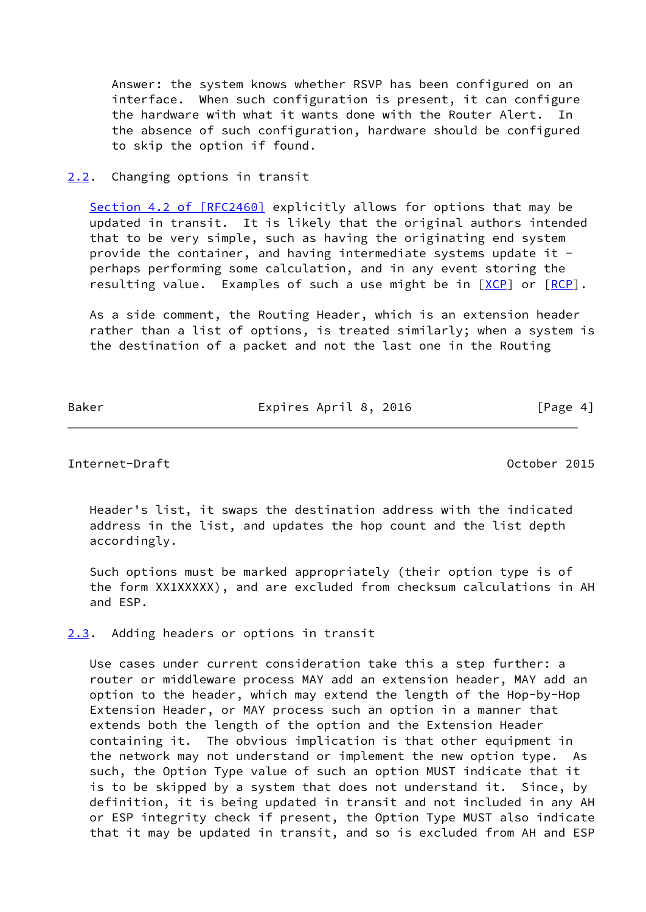Answer: the system knows whether RSVP has been configured on an interface. When such configuration is present, it can configure the hardware with what it wants done with the Router Alert. In the absence of such configuration, hardware should be configured to skip the option if found.

#### <span id="page-4-0"></span>[2.2](#page-4-0). Changing options in transit

Section [4.2 of \[RFC2460\]](https://datatracker.ietf.org/doc/pdf/rfc2460#section-4.2) explicitly allows for options that may be updated in transit. It is likely that the original authors intended that to be very simple, such as having the originating end system provide the container, and having intermediate systems update it perhaps performing some calculation, and in any event storing the resulting value. Examples of such a use might be in [\[XCP](#page-8-1)] or [[RCP](#page-7-5)].

 As a side comment, the Routing Header, which is an extension header rather than a list of options, is treated similarly; when a system is the destination of a packet and not the last one in the Routing

Baker **Expires April 8, 2016** Expires April 8, 2016

<span id="page-4-2"></span>Internet-Draft October 2015

 Header's list, it swaps the destination address with the indicated address in the list, and updates the hop count and the list depth accordingly.

 Such options must be marked appropriately (their option type is of the form XX1XXXXX), and are excluded from checksum calculations in AH and ESP.

<span id="page-4-1"></span>[2.3](#page-4-1). Adding headers or options in transit

 Use cases under current consideration take this a step further: a router or middleware process MAY add an extension header, MAY add an option to the header, which may extend the length of the Hop-by-Hop Extension Header, or MAY process such an option in a manner that extends both the length of the option and the Extension Header containing it. The obvious implication is that other equipment in the network may not understand or implement the new option type. As such, the Option Type value of such an option MUST indicate that it is to be skipped by a system that does not understand it. Since, by definition, it is being updated in transit and not included in any AH or ESP integrity check if present, the Option Type MUST also indicate that it may be updated in transit, and so is excluded from AH and ESP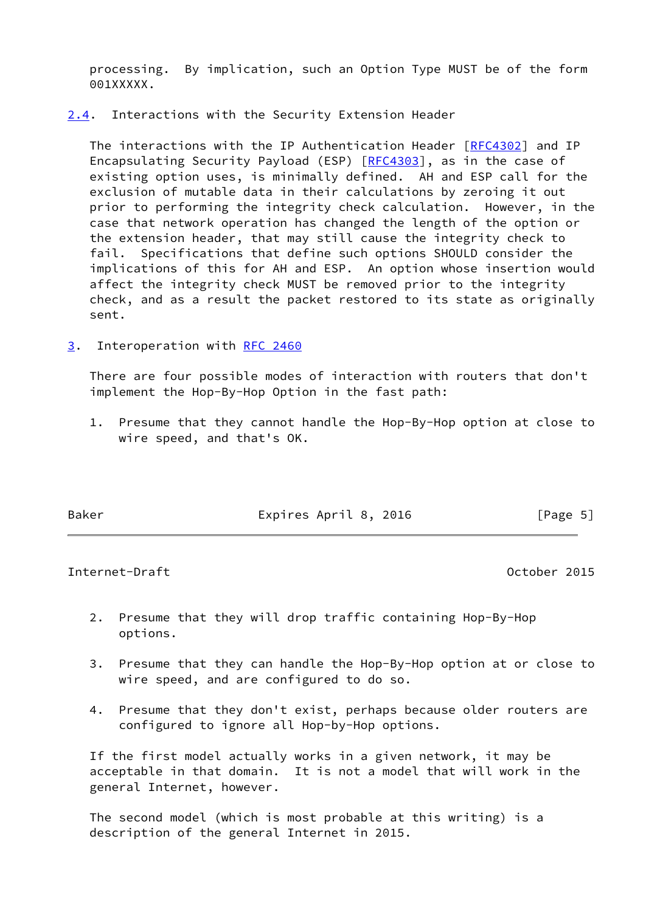processing. By implication, such an Option Type MUST be of the form 001XXXXX.

<span id="page-5-0"></span>[2.4](#page-5-0). Interactions with the Security Extension Header

 The interactions with the IP Authentication Header [[RFC4302\]](https://datatracker.ietf.org/doc/pdf/rfc4302) and IP Encapsulating Security Payload (ESP) [\[RFC4303](https://datatracker.ietf.org/doc/pdf/rfc4303)], as in the case of existing option uses, is minimally defined. AH and ESP call for the exclusion of mutable data in their calculations by zeroing it out prior to performing the integrity check calculation. However, in the case that network operation has changed the length of the option or the extension header, that may still cause the integrity check to fail. Specifications that define such options SHOULD consider the implications of this for AH and ESP. An option whose insertion would affect the integrity check MUST be removed prior to the integrity check, and as a result the packet restored to its state as originally sent.

<span id="page-5-1"></span>[3](#page-5-1). Interoperation with [RFC 2460](https://datatracker.ietf.org/doc/pdf/rfc2460)

 There are four possible modes of interaction with routers that don't implement the Hop-By-Hop Option in the fast path:

 1. Presume that they cannot handle the Hop-By-Hop option at close to wire speed, and that's OK.

Baker Expires April 8, 2016 [Page 5]

<span id="page-5-2"></span>Internet-Draft October 2015

- 2. Presume that they will drop traffic containing Hop-By-Hop options.
- 3. Presume that they can handle the Hop-By-Hop option at or close to wire speed, and are configured to do so.
- 4. Presume that they don't exist, perhaps because older routers are configured to ignore all Hop-by-Hop options.

 If the first model actually works in a given network, it may be acceptable in that domain. It is not a model that will work in the general Internet, however.

 The second model (which is most probable at this writing) is a description of the general Internet in 2015.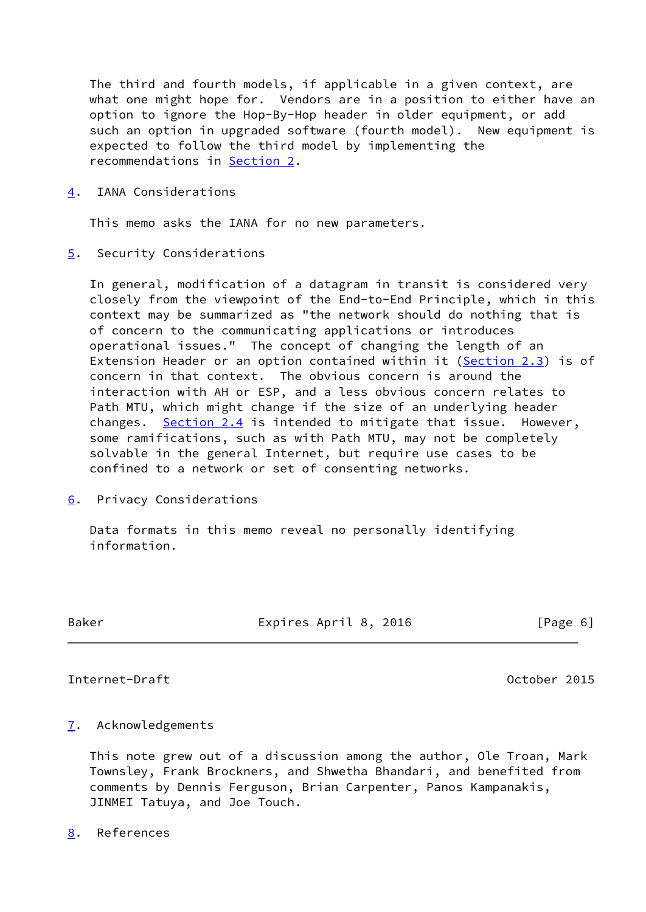The third and fourth models, if applicable in a given context, are what one might hope for. Vendors are in a position to either have an option to ignore the Hop-By-Hop header in older equipment, or add such an option in upgraded software (fourth model). New equipment is expected to follow the third model by implementing the recommendations in [Section 2.](#page-2-2)

<span id="page-6-0"></span>[4](#page-6-0). IANA Considerations

This memo asks the IANA for no new parameters.

<span id="page-6-1"></span>[5](#page-6-1). Security Considerations

 In general, modification of a datagram in transit is considered very closely from the viewpoint of the End-to-End Principle, which in this context may be summarized as "the network should do nothing that is of concern to the communicating applications or introduces operational issues." The concept of changing the length of an Extension Header or an option contained within it ([Section 2.3](#page-4-1)) is of concern in that context. The obvious concern is around the interaction with AH or ESP, and a less obvious concern relates to Path MTU, which might change if the size of an underlying header changes. [Section 2.4](#page-5-0) is intended to mitigate that issue. However, some ramifications, such as with Path MTU, may not be completely solvable in the general Internet, but require use cases to be confined to a network or set of consenting networks.

<span id="page-6-2"></span>[6](#page-6-2). Privacy Considerations

 Data formats in this memo reveal no personally identifying information.

Baker **Expires April 8, 2016** [Page 6]

## <span id="page-6-4"></span>Internet-Draft October 2015

### <span id="page-6-3"></span>[7](#page-6-3). Acknowledgements

 This note grew out of a discussion among the author, Ole Troan, Mark Townsley, Frank Brockners, and Shwetha Bhandari, and benefited from comments by Dennis Ferguson, Brian Carpenter, Panos Kampanakis, JINMEI Tatuya, and Joe Touch.

<span id="page-6-5"></span>[8](#page-6-5). References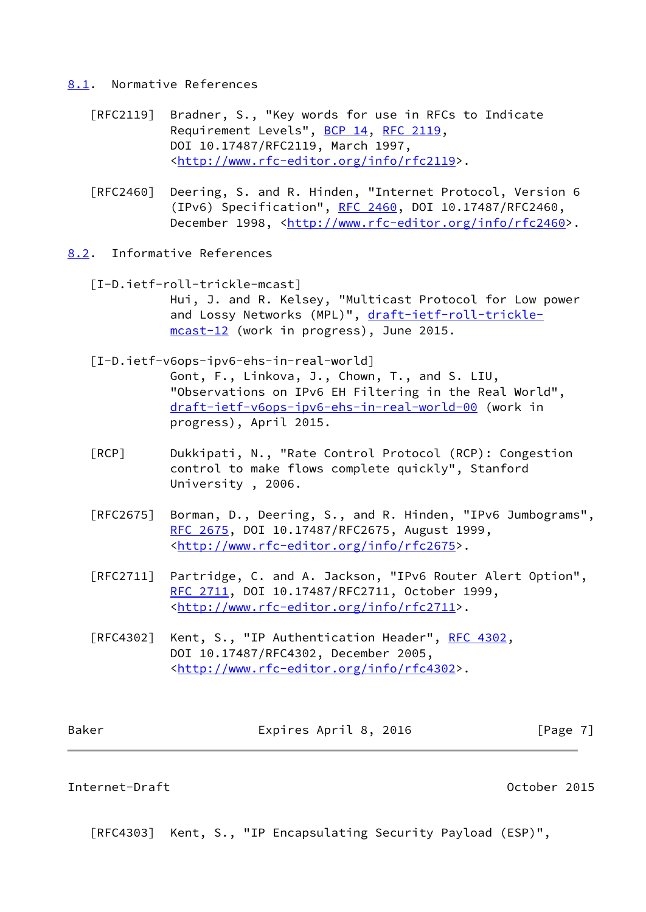#### <span id="page-7-0"></span>[8.1](#page-7-0). Normative References

- [RFC2119] Bradner, S., "Key words for use in RFCs to Indicate Requirement Levels", [BCP 14](https://datatracker.ietf.org/doc/pdf/bcp14), [RFC 2119](https://datatracker.ietf.org/doc/pdf/rfc2119), DOI 10.17487/RFC2119, March 1997, <<http://www.rfc-editor.org/info/rfc2119>>.
- [RFC2460] Deering, S. and R. Hinden, "Internet Protocol, Version 6 (IPv6) Specification", [RFC 2460](https://datatracker.ietf.org/doc/pdf/rfc2460), DOI 10.17487/RFC2460, December 1998, <<http://www.rfc-editor.org/info/rfc2460>>.
- <span id="page-7-5"></span><span id="page-7-4"></span><span id="page-7-3"></span><span id="page-7-1"></span>[8.2](#page-7-1). Informative References
	- [I-D.ietf-roll-trickle-mcast] Hui, J. and R. Kelsey, "Multicast Protocol for Low power and Lossy Networks (MPL)", [draft-ietf-roll-trickle](https://datatracker.ietf.org/doc/pdf/draft-ietf-roll-trickle-mcast-12) [mcast-12](https://datatracker.ietf.org/doc/pdf/draft-ietf-roll-trickle-mcast-12) (work in progress), June 2015.
	- [I-D.ietf-v6ops-ipv6-ehs-in-real-world]
		- Gont, F., Linkova, J., Chown, T., and S. LIU, "Observations on IPv6 EH Filtering in the Real World", [draft-ietf-v6ops-ipv6-ehs-in-real-world-00](https://datatracker.ietf.org/doc/pdf/draft-ietf-v6ops-ipv6-ehs-in-real-world-00) (work in progress), April 2015.
	- [RCP] Dukkipati, N., "Rate Control Protocol (RCP): Congestion control to make flows complete quickly", Stanford University , 2006.
	- [RFC2675] Borman, D., Deering, S., and R. Hinden, "IPv6 Jumbograms", [RFC 2675,](https://datatracker.ietf.org/doc/pdf/rfc2675) DOI 10.17487/RFC2675, August 1999, <<http://www.rfc-editor.org/info/rfc2675>>.
	- [RFC2711] Partridge, C. and A. Jackson, "IPv6 Router Alert Option", [RFC 2711,](https://datatracker.ietf.org/doc/pdf/rfc2711) DOI 10.17487/RFC2711, October 1999, <<http://www.rfc-editor.org/info/rfc2711>>.
	- [RFC4302] Kent, S., "IP Authentication Header", [RFC 4302](https://datatracker.ietf.org/doc/pdf/rfc4302), DOI 10.17487/RFC4302, December 2005, <<http://www.rfc-editor.org/info/rfc4302>>.

| Baker | Expires April 8, 2016 | [Page 7] |
|-------|-----------------------|----------|
|       |                       |          |

### <span id="page-7-2"></span>Internet-Draft October 2015

[RFC4303] Kent, S., "IP Encapsulating Security Payload (ESP)",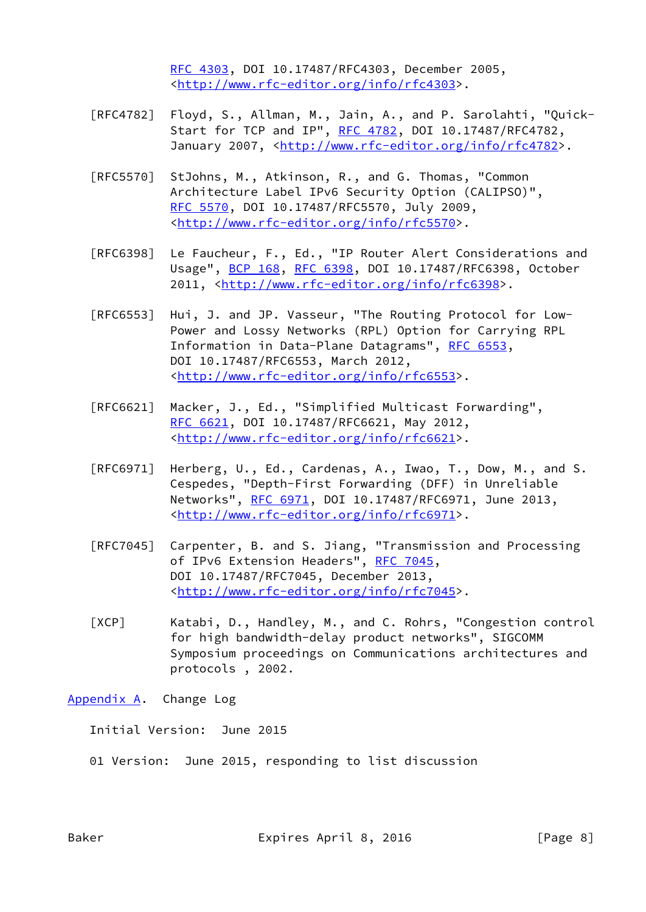[RFC 4303,](https://datatracker.ietf.org/doc/pdf/rfc4303) DOI 10.17487/RFC4303, December 2005, <<http://www.rfc-editor.org/info/rfc4303>>.

- [RFC4782] Floyd, S., Allman, M., Jain, A., and P. Sarolahti, "Quick- Start for TCP and IP", [RFC 4782](https://datatracker.ietf.org/doc/pdf/rfc4782), DOI 10.17487/RFC4782, January 2007, [<http://www.rfc-editor.org/info/rfc4782](http://www.rfc-editor.org/info/rfc4782)>.
- [RFC5570] StJohns, M., Atkinson, R., and G. Thomas, "Common Architecture Label IPv6 Security Option (CALIPSO)", [RFC 5570,](https://datatracker.ietf.org/doc/pdf/rfc5570) DOI 10.17487/RFC5570, July 2009, <<http://www.rfc-editor.org/info/rfc5570>>.
- [RFC6398] Le Faucheur, F., Ed., "IP Router Alert Considerations and Usage", [BCP 168](https://datatracker.ietf.org/doc/pdf/bcp168), [RFC 6398,](https://datatracker.ietf.org/doc/pdf/rfc6398) DOI 10.17487/RFC6398, October 2011, [<http://www.rfc-editor.org/info/rfc6398](http://www.rfc-editor.org/info/rfc6398)>.
- [RFC6553] Hui, J. and JP. Vasseur, "The Routing Protocol for Low- Power and Lossy Networks (RPL) Option for Carrying RPL Information in Data-Plane Datagrams", [RFC 6553](https://datatracker.ietf.org/doc/pdf/rfc6553), DOI 10.17487/RFC6553, March 2012, <<http://www.rfc-editor.org/info/rfc6553>>.
- [RFC6621] Macker, J., Ed., "Simplified Multicast Forwarding", [RFC 6621,](https://datatracker.ietf.org/doc/pdf/rfc6621) DOI 10.17487/RFC6621, May 2012, <<http://www.rfc-editor.org/info/rfc6621>>.
- [RFC6971] Herberg, U., Ed., Cardenas, A., Iwao, T., Dow, M., and S. Cespedes, "Depth-First Forwarding (DFF) in Unreliable Networks", [RFC 6971](https://datatracker.ietf.org/doc/pdf/rfc6971), DOI 10.17487/RFC6971, June 2013, <<http://www.rfc-editor.org/info/rfc6971>>.
- [RFC7045] Carpenter, B. and S. Jiang, "Transmission and Processing of IPv6 Extension Headers", [RFC 7045,](https://datatracker.ietf.org/doc/pdf/rfc7045) DOI 10.17487/RFC7045, December 2013, <<http://www.rfc-editor.org/info/rfc7045>>.
- <span id="page-8-1"></span> [XCP] Katabi, D., Handley, M., and C. Rohrs, "Congestion control for high bandwidth-delay product networks", SIGCOMM Symposium proceedings on Communications architectures and protocols , 2002.

<span id="page-8-0"></span>[Appendix A.](#page-8-0) Change Log

Initial Version: June 2015

01 Version: June 2015, responding to list discussion